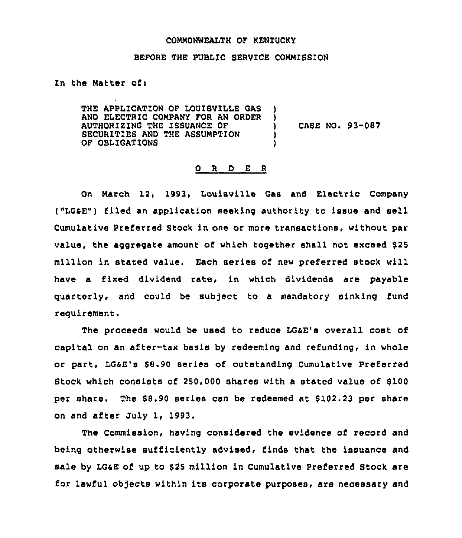## COMMONWEALTH OF kENTUCKY

## BEFORE THE PUBLIC SERVICE COMMISSION

In the Matter of:

THE APPLICATION OF LOUISVILLE GAS AND ELECTRIC COMPANY FOR AN ORDER AUTHORIZING THE ISSUANCE OF SECURITIES AND THE ASSUMPTION OF OBLIGATIONS ) ) ) )

) CASE NO. 93-087

## 0 R D E <sup>R</sup>

On March 12, 1993, Louisville Gas and Electric Company ("LQaE") filed an application seeking authority to issue and sell Cumulative Preferred Stock in one or more transactions, without par value, the aggregate amount of which together shall not exceed \$25 million in stated value. Each series of new preferred stock will have a fixed dividend rate, in which dividends are payable quarterly, and could be subject to a mandatory sinking fund requirement.

The proceeds would be used to reduce LGsE's overall cost of capital on an after-tax basis by redeeming and refunding, in whole or part, LQaE's \$8.90 series of outstanding Cumulative Preferred Stock which consists of 250,000 shares with a stated value of \$100 per share. The \$8.90 series can be redeemed at \$102.23 per share on and after July 1, 1993.

The Commission, having considered the evidence of record and being otherwise sufficiently advised, finds that the issuance and sale by LGaE of up to \$<sup>25</sup> million in Cumulative Preferred Stock are for lawful objects within its corporate purposes, are necessary and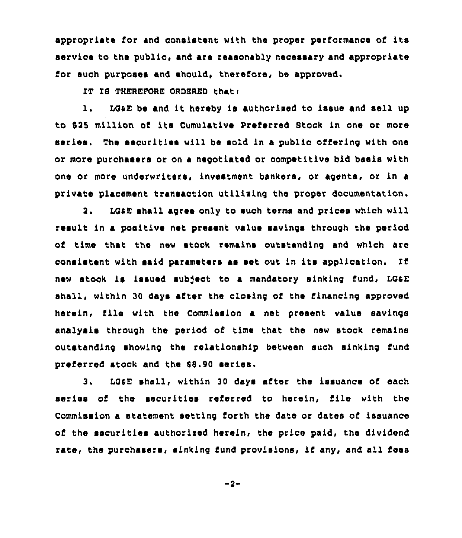appropriate for and consistent with the proper performance of its service to the public, and are reasonably necessary and appropriate for such purposes and should, therefore, be approved.

IT IS THEREFORE ORDERED that:

1. LGaE be and it hereby is authorised to issue and sell up to 915 million of its Cumulative preferred Stook in one or more series. The securities will be sold in a public offering with one or more purchasers or on a negotiated or competitive bid basis with one or more underwriters, investment bankers, or agents, or in a private placement transaotion utilising the proper documentation.

2. LGAE shall agree only to such terms and prices which will result in a positive net present value savings through the period of time that the new stock remains outstanding and which are consistent with said parameters as aet out in its application. new stock is issued subject to a mandatory sinking fund, LG&E shall, within 30 days after the closing of the financing approved herein, iile with the Commission <sup>a</sup> net present value savings analysis through the period of time that the new stock remains outstanding showing the relationship between such sinking fund preferred stock and the \$8,90 series.

3. LOaE shall, within 30 days after the issuance of each series of the securities referred to herein, file with the Commission a statement setting forth the date or dates of issuance of the securities authorised herein, the price paid, the dividend rate, the purchasers, sinking fund provisions, if any, and all fees

 $-2-$